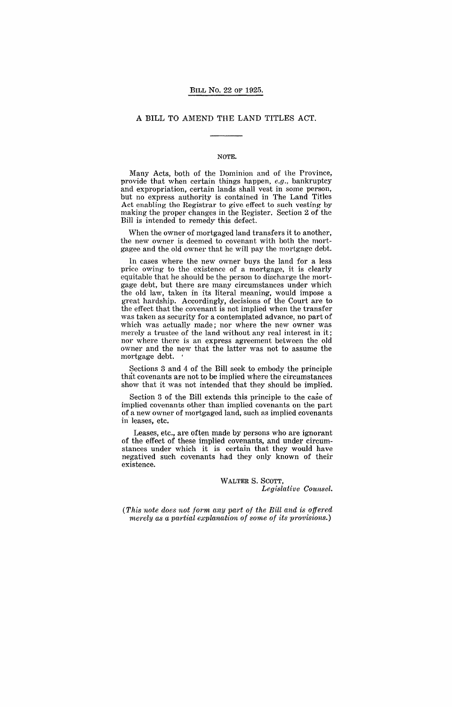# A BILL TO AMEND THE LAND TITLES ACT.

#### NOTE.

Many Acts, both of the Dominion and of the Province, provide that when certain things happen, *e.g.,* bankruptcy and expropriation, certain lands shall vest in some person, but no express authority is contained in The Land Titles Act enabling the Registrar to give. effect to such vesting by making the proper changes in the Hegister. Section 2 of the Bill is intended to remedy this defect.

When the owner of mortgaged land transfers it to another, the new owner is deemed to covenant with both the mortgagee and the old owner that he will pay the mortgage debt.

In cases where the new owner buys the land for a less price owing to the existence of a mortgage, it is clearly equitable that he should be the person to discharge the mortgage debt, but there are many circumstances under which the old law, taken in its literal meaning, would impose a great hardship. Accordingly, decisions of the Court are to the effect that the covenant is not implied when the transfer was taken as security for a contemplated advance, no part of which was actually made; nor where the new owner was merely a trustee of the land without any real interest in it; nor where there is an express agreement between the old owner and the new that the latter was not to assume the mortgage debt. '

Sections 3 and 4 of the Bill seek to embody the principle that covenants are not to be implied where the circumstances show that it was not intended that they should be implied.

Section 3 of the Bill extends this principle to the case of implied covenants other than implied covenants on the part of a new owner of mortgaged land, such as implied covenants in leases, etc.

Leases, etc., are often made by persons who are ignorant of the effect of these implied covenants, and under circumstances under which it is certain that they would have negatived such covenants had they only known of their existence.

> WALTER S. SCOTT, *Legislative Counsel.*

*(This note does not f01'm ciny part of the Bill and is offered merely* as *a partial explanation of some of its provisions.)*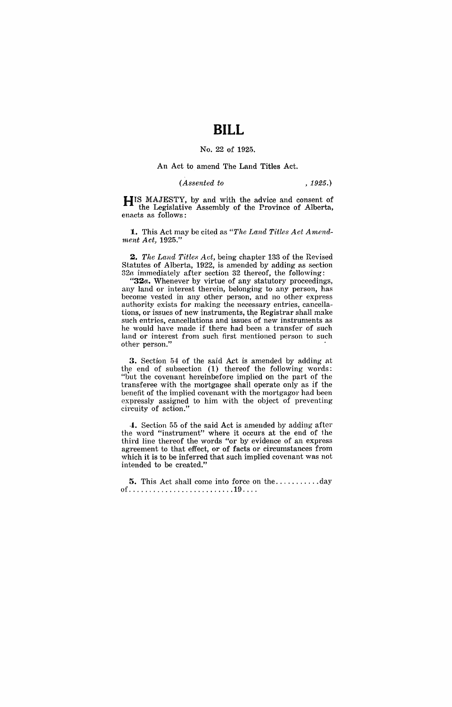# **BILL**

# No. 22 of 1925.

## An Act to amend The Land Titles Act.

### *(Assented to* , 1925.)

HIS MAJESTY, by and with the advice and consent of the Legislative Assembly of the Province of Alberta, enacts as follows:

1. This Act may be cited as *"The Land Titles Act Amendment Act*, 1925."

*2. The Land Titles Act,* being chapter 133 of the Revised Statutes of Alberta, 1922, is amended by adding as section *32a* immediately after section 32 thereof, the following:

*"32a.* Whenever by virtue of any statutory proceedings, any land or interest therein, belonging to any person, has become vested in any other person, and no other express authority exists for making the necessary entries, cancellations, or issues of new instruments, the Registrar shall make such entries, cancellations and issues of new instruments as he would have made if there had been a transfer of such land or interest from such first mentioned person to such other person."

3. Section 54 of the said Act is amended by adding at the end of subsection (1) thereof the following words: "but the covenant hereinbefore implied on the part of the transferee with the mortgagee shall operate only as if the benefit of the implied covenant with the mortgagor had been expressly assigned to him with the object of preventing circuity of action."

-1. Section 55 of the said Act is amended by adding after the word "instrument" where it occurs at the end of the third line thereof the words "or by evidence of an express agreement to that effect, or of facts or circumstances from which it is to be inferred that such implied covenant was not intended to be created."

5. This Act shall come into force on the ........... day of .......................... 19 ... .